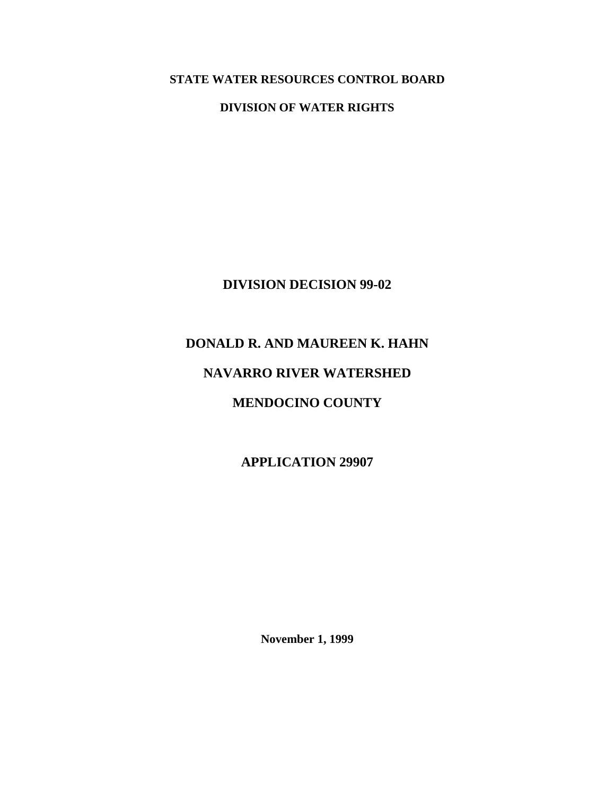**STATE WATER RESOURCES CONTROL BOARD** 

**DIVISION OF WATER RIGHTS** 

**DIVISION DECISION 99-02** 

## **DONALD R. AND MAUREEN K. HAHN**

# **NAVARRO RIVER WATERSHED**

# **MENDOCINO COUNTY**

**APPLICATION 29907** 

**November 1, 1999**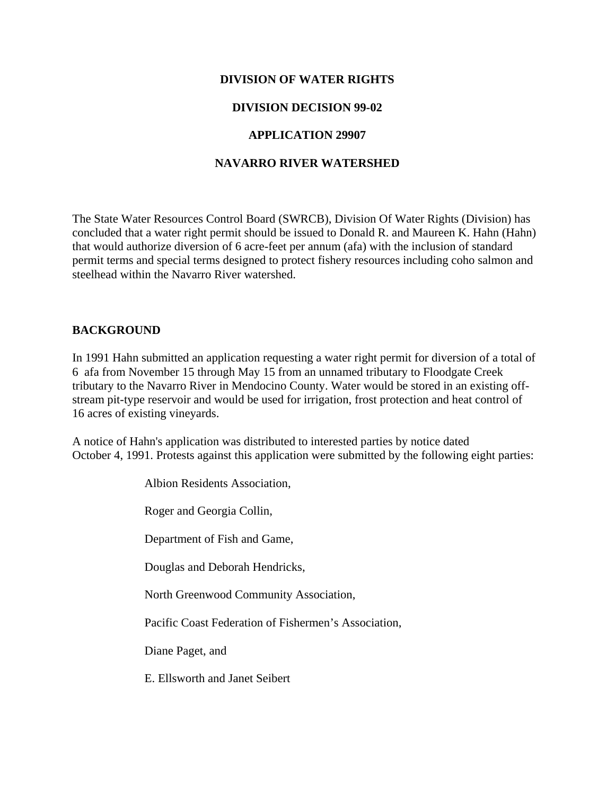#### **DIVISION OF WATER RIGHTS**

#### **DIVISION DECISION 99-02**

#### **APPLICATION 29907**

#### **NAVARRO RIVER WATERSHED**

The State Water Resources Control Board (SWRCB), Division Of Water Rights (Division) has concluded that a water right permit should be issued to Donald R. and Maureen K. Hahn (Hahn) that would authorize diversion of 6 acre-feet per annum (afa) with the inclusion of standard permit terms and special terms designed to protect fishery resources including coho salmon and steelhead within the Navarro River watershed.

#### **BACKGROUND**

In 1991 Hahn submitted an application requesting a water right permit for diversion of a total of 6 afa from November 15 through May 15 from an unnamed tributary to Floodgate Creek tributary to the Navarro River in Mendocino County. Water would be stored in an existing offstream pit-type reservoir and would be used for irrigation, frost protection and heat control of 16 acres of existing vineyards.

A notice of Hahn's application was distributed to interested parties by notice dated October 4, 1991. Protests against this application were submitted by the following eight parties:

Albion Residents Association,

Roger and Georgia Collin,

Department of Fish and Game,

Douglas and Deborah Hendricks,

North Greenwood Community Association,

Pacific Coast Federation of Fishermen's Association,

Diane Paget, and

E. Ellsworth and Janet Seibert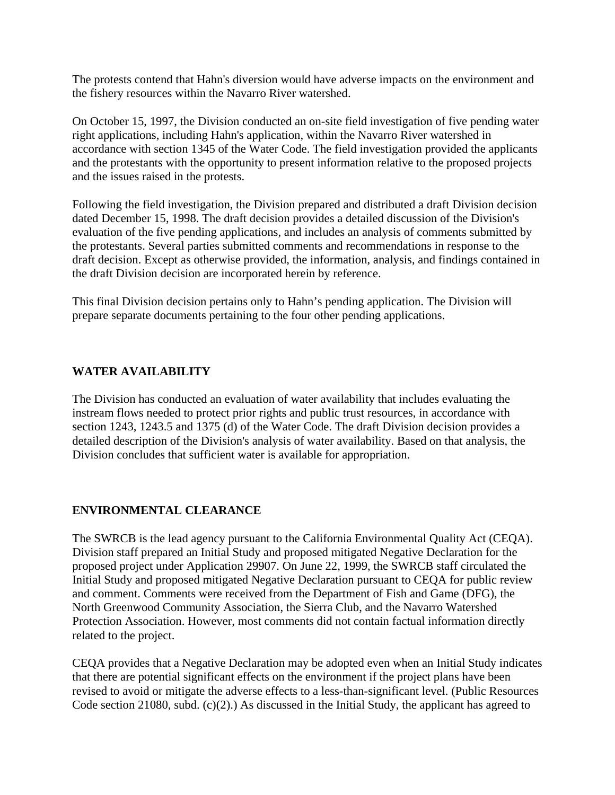The protests contend that Hahn's diversion would have adverse impacts on the environment and the fishery resources within the Navarro River watershed.

On October 15, 1997, the Division conducted an on-site field investigation of five pending water right applications, including Hahn's application, within the Navarro River watershed in accordance with section 1345 of the Water Code. The field investigation provided the applicants and the protestants with the opportunity to present information relative to the proposed projects and the issues raised in the protests.

Following the field investigation, the Division prepared and distributed a draft Division decision dated December 15, 1998. The draft decision provides a detailed discussion of the Division's evaluation of the five pending applications, and includes an analysis of comments submitted by the protestants. Several parties submitted comments and recommendations in response to the draft decision. Except as otherwise provided, the information, analysis, and findings contained in the draft Division decision are incorporated herein by reference.

This final Division decision pertains only to Hahn's pending application. The Division will prepare separate documents pertaining to the four other pending applications.

### **WATER AVAILABILITY**

The Division has conducted an evaluation of water availability that includes evaluating the instream flows needed to protect prior rights and public trust resources, in accordance with section 1243, 1243.5 and 1375 (d) of the Water Code. The draft Division decision provides a detailed description of the Division's analysis of water availability. Based on that analysis, the Division concludes that sufficient water is available for appropriation.

### **ENVIRONMENTAL CLEARANCE**

The SWRCB is the lead agency pursuant to the California Environmental Quality Act (CEQA). Division staff prepared an Initial Study and proposed mitigated Negative Declaration for the proposed project under Application 29907. On June 22, 1999, the SWRCB staff circulated the Initial Study and proposed mitigated Negative Declaration pursuant to CEQA for public review and comment. Comments were received from the Department of Fish and Game (DFG), the North Greenwood Community Association, the Sierra Club, and the Navarro Watershed Protection Association. However, most comments did not contain factual information directly related to the project.

CEQA provides that a Negative Declaration may be adopted even when an Initial Study indicates that there are potential significant effects on the environment if the project plans have been revised to avoid or mitigate the adverse effects to a less-than-significant level. (Public Resources Code section 21080, subd. (c)(2).) As discussed in the Initial Study, the applicant has agreed to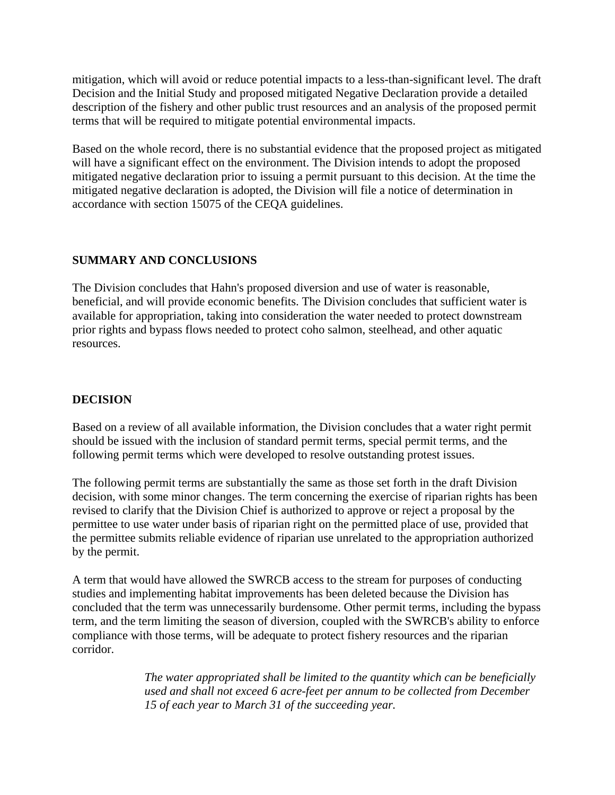mitigation, which will avoid or reduce potential impacts to a less-than-significant level. The draft Decision and the Initial Study and proposed mitigated Negative Declaration provide a detailed description of the fishery and other public trust resources and an analysis of the proposed permit terms that will be required to mitigate potential environmental impacts.

Based on the whole record, there is no substantial evidence that the proposed project as mitigated will have a significant effect on the environment. The Division intends to adopt the proposed mitigated negative declaration prior to issuing a permit pursuant to this decision. At the time the mitigated negative declaration is adopted, the Division will file a notice of determination in accordance with section 15075 of the CEQA guidelines.

### **SUMMARY AND CONCLUSIONS**

The Division concludes that Hahn's proposed diversion and use of water is reasonable, beneficial, and will provide economic benefits. The Division concludes that sufficient water is available for appropriation, taking into consideration the water needed to protect downstream prior rights and bypass flows needed to protect coho salmon, steelhead, and other aquatic resources.

## **DECISION**

Based on a review of all available information, the Division concludes that a water right permit should be issued with the inclusion of standard permit terms, special permit terms, and the following permit terms which were developed to resolve outstanding protest issues.

The following permit terms are substantially the same as those set forth in the draft Division decision, with some minor changes. The term concerning the exercise of riparian rights has been revised to clarify that the Division Chief is authorized to approve or reject a proposal by the permittee to use water under basis of riparian right on the permitted place of use, provided that the permittee submits reliable evidence of riparian use unrelated to the appropriation authorized by the permit.

A term that would have allowed the SWRCB access to the stream for purposes of conducting studies and implementing habitat improvements has been deleted because the Division has concluded that the term was unnecessarily burdensome. Other permit terms, including the bypass term, and the term limiting the season of diversion, coupled with the SWRCB's ability to enforce compliance with those terms, will be adequate to protect fishery resources and the riparian corridor.

> *The water appropriated shall be limited to the quantity which can be beneficially used and shall not exceed 6 acre-feet per annum to be collected from December 15 of each year to March 31 of the succeeding year.*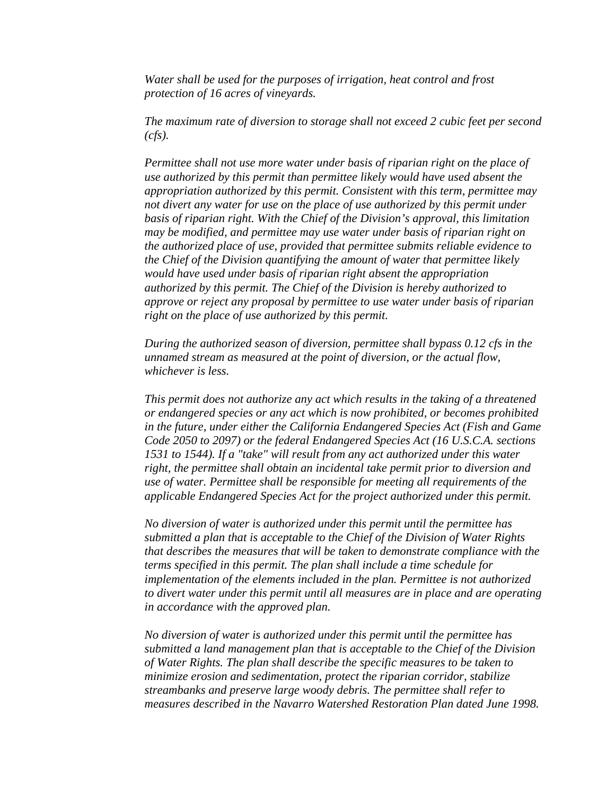*Water shall be used for the purposes of irrigation, heat control and frost protection of 16 acres of vineyards.* 

*The maximum rate of diversion to storage shall not exceed 2 cubic feet per second (cfs).* 

*Permittee shall not use more water under basis of riparian right on the place of use authorized by this permit than permittee likely would have used absent the appropriation authorized by this permit. Consistent with this term, permittee may not divert any water for use on the place of use authorized by this permit under basis of riparian right. With the Chief of the Division's approval, this limitation may be modified, and permittee may use water under basis of riparian right on the authorized place of use, provided that permittee submits reliable evidence to the Chief of the Division quantifying the amount of water that permittee likely would have used under basis of riparian right absent the appropriation authorized by this permit. The Chief of the Division is hereby authorized to approve or reject any proposal by permittee to use water under basis of riparian right on the place of use authorized by this permit.* 

*During the authorized season of diversion, permittee shall bypass 0.12 cfs in the unnamed stream as measured at the point of diversion, or the actual flow, whichever is less.* 

*This permit does not authorize any act which results in the taking of a threatened or endangered species or any act which is now prohibited, or becomes prohibited in the future, under either the California Endangered Species Act (Fish and Game Code 2050 to 2097) or the federal Endangered Species Act (16 U.S.C.A. sections 1531 to 1544). If a "take" will result from any act authorized under this water right, the permittee shall obtain an incidental take permit prior to diversion and use of water. Permittee shall be responsible for meeting all requirements of the applicable Endangered Species Act for the project authorized under this permit.* 

*No diversion of water is authorized under this permit until the permittee has submitted a plan that is acceptable to the Chief of the Division of Water Rights that describes the measures that will be taken to demonstrate compliance with the terms specified in this permit. The plan shall include a time schedule for implementation of the elements included in the plan. Permittee is not authorized to divert water under this permit until all measures are in place and are operating in accordance with the approved plan.* 

*No diversion of water is authorized under this permit until the permittee has submitted a land management plan that is acceptable to the Chief of the Division of Water Rights. The plan shall describe the specific measures to be taken to minimize erosion and sedimentation, protect the riparian corridor, stabilize streambanks and preserve large woody debris. The permittee shall refer to measures described in the Navarro Watershed Restoration Plan dated June 1998.*